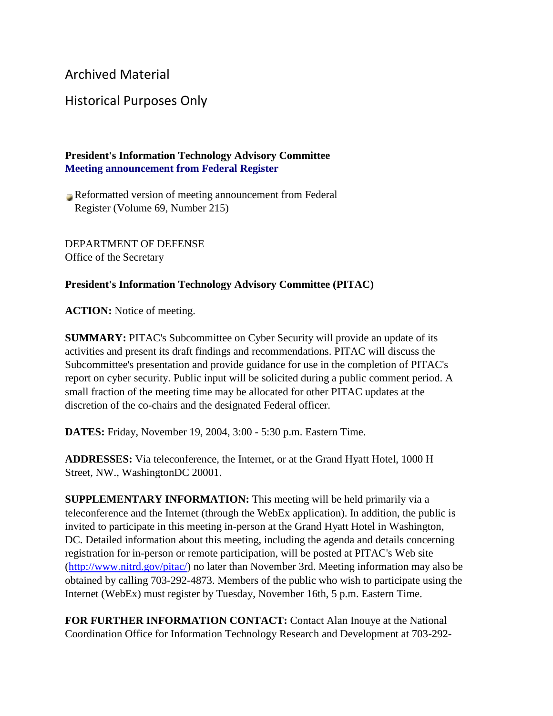## Archived Material

## Historical Purposes Only

## **President's Information Technology Advisory Committee Meeting announcement from Federal Register**

Reformatted version of meeting announcement from Federal Register (Volume 69, Number 215)

DEPARTMENT OF DEFENSE Office of the Secretary

## **President's Information Technology Advisory Committee (PITAC)**

**ACTION:** Notice of meeting.

**SUMMARY:** PITAC's Subcommittee on Cyber Security will provide an update of its activities and present its draft findings and recommendations. PITAC will discuss the Subcommittee's presentation and provide guidance for use in the completion of PITAC's report on cyber security. Public input will be solicited during a public comment period. A small fraction of the meeting time may be allocated for other PITAC updates at the discretion of the co-chairs and the designated Federal officer.

**DATES:** Friday, November 19, 2004, 3:00 - 5:30 p.m. Eastern Time.

**ADDRESSES:** Via teleconference, the Internet, or at the Grand Hyatt Hotel, 1000 H Street, NW., WashingtonDC 20001.

**SUPPLEMENTARY INFORMATION:** This meeting will be held primarily via a teleconference and the Internet (through the WebEx application). In addition, the public is invited to participate in this meeting in-person at the Grand Hyatt Hotel in Washington, DC. Detailed information about this meeting, including the agenda and details concerning registration for in-person or remote participation, will be posted at PITAC's Web site [\(http://www.nitrd.gov/pitac/\)](https://www.nitrd.gov/pitac/index.html) no later than November 3rd. Meeting information may also be obtained by calling 703-292-4873. Members of the public who wish to participate using the Internet (WebEx) must register by Tuesday, November 16th, 5 p.m. Eastern Time.

**FOR FURTHER INFORMATION CONTACT:** Contact Alan Inouye at the National Coordination Office for Information Technology Research and Development at 703-292